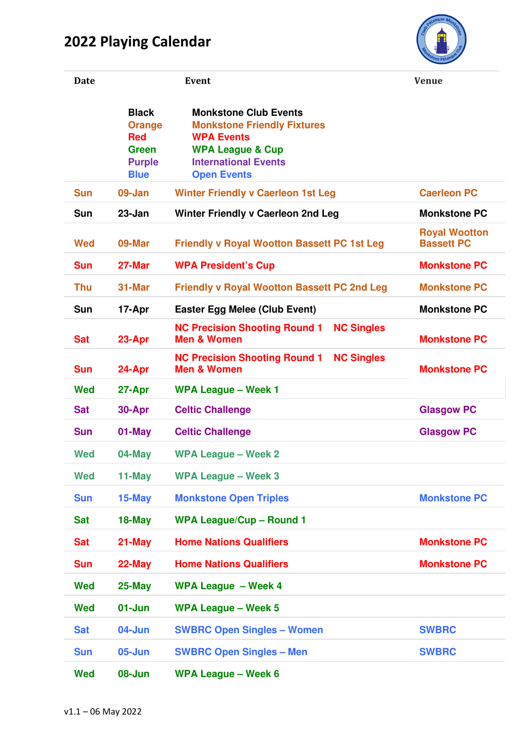## **2022 Playing Calendar**



| <b>Date</b> |                                                                                      | Event                                                                                                                                                                       | <b>Venue</b>                              |
|-------------|--------------------------------------------------------------------------------------|-----------------------------------------------------------------------------------------------------------------------------------------------------------------------------|-------------------------------------------|
|             | <b>Black</b><br><b>Orange</b><br><b>Red</b><br>Green<br><b>Purple</b><br><b>Blue</b> | <b>Monkstone Club Events</b><br><b>Monkstone Friendly Fixtures</b><br><b>WPA Events</b><br><b>WPA League &amp; Cup</b><br><b>International Events</b><br><b>Open Events</b> |                                           |
| <b>Sun</b>  | 09-Jan                                                                               | <b>Winter Friendly v Caerleon 1st Leg</b>                                                                                                                                   | <b>Caerleon PC</b>                        |
| <b>Sun</b>  | $23 - Jan$                                                                           | <b>Winter Friendly v Caerleon 2nd Leg</b>                                                                                                                                   | <b>Monkstone PC</b>                       |
| <b>Wed</b>  | 09-Mar                                                                               | <b>Friendly v Royal Wootton Bassett PC 1st Leg</b>                                                                                                                          | <b>Royal Wootton</b><br><b>Bassett PC</b> |
| <b>Sun</b>  | 27-Mar                                                                               | <b>WPA President's Cup</b>                                                                                                                                                  | <b>Monkstone PC</b>                       |
| <b>Thu</b>  | 31-Mar                                                                               | <b>Friendly v Royal Wootton Bassett PC 2nd Leg</b>                                                                                                                          | <b>Monkstone PC</b>                       |
| <b>Sun</b>  | 17-Apr                                                                               | <b>Easter Egg Melee (Club Event)</b>                                                                                                                                        | <b>Monkstone PC</b>                       |
| <b>Sat</b>  | 23-Apr                                                                               | <b>NC Precision Shooting Round 1</b><br><b>NC Singles</b><br><b>Men &amp; Women</b>                                                                                         | <b>Monkstone PC</b>                       |
| <b>Sun</b>  | 24-Apr                                                                               | <b>NC Precision Shooting Round 1</b><br><b>NC Singles</b><br><b>Men &amp; Women</b>                                                                                         | <b>Monkstone PC</b>                       |
| <b>Wed</b>  | 27-Apr                                                                               | <b>WPA League - Week 1</b>                                                                                                                                                  |                                           |
| <b>Sat</b>  | 30-Apr                                                                               | <b>Celtic Challenge</b>                                                                                                                                                     | <b>Glasgow PC</b>                         |
| <b>Sun</b>  | 01-May                                                                               | <b>Celtic Challenge</b>                                                                                                                                                     | <b>Glasgow PC</b>                         |
| Wed         | 04-May                                                                               | <b>WPA League – Week 2</b>                                                                                                                                                  |                                           |
| <b>Wed</b>  | 11-May                                                                               | <b>WPA League - Week 3</b>                                                                                                                                                  |                                           |
| <b>Sun</b>  | 15-May                                                                               | <b>Monkstone Open Triples</b>                                                                                                                                               | <b>Monkstone PC</b>                       |
| <b>Sat</b>  | $18$ -May                                                                            | <b>WPA League/Cup - Round 1</b>                                                                                                                                             |                                           |
| <b>Sat</b>  | $21$ -May                                                                            | <b>Home Nations Qualifiers</b>                                                                                                                                              | <b>Monkstone PC</b>                       |
| <b>Sun</b>  | $22$ -May                                                                            | <b>Home Nations Qualifiers</b>                                                                                                                                              | <b>Monkstone PC</b>                       |
| <b>Wed</b>  | $25$ -May                                                                            | <b>WPA League - Week 4</b>                                                                                                                                                  |                                           |
| <b>Wed</b>  | 01-Jun                                                                               | <b>WPA League - Week 5</b>                                                                                                                                                  |                                           |
| <b>Sat</b>  | 04-Jun                                                                               | <b>SWBRC Open Singles - Women</b>                                                                                                                                           | <b>SWBRC</b>                              |
| <b>Sun</b>  | $05 - Jun$                                                                           | <b>SWBRC Open Singles - Men</b>                                                                                                                                             | <b>SWBRC</b>                              |
| <b>Wed</b>  | 08-Jun                                                                               | <b>WPA League - Week 6</b>                                                                                                                                                  |                                           |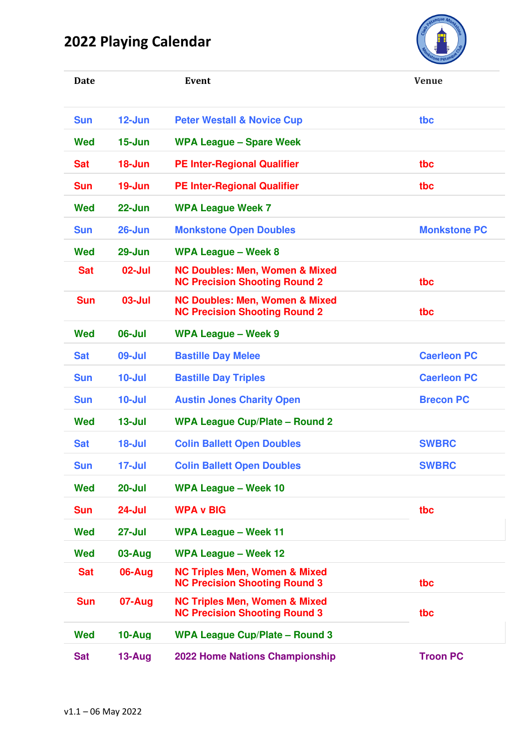## **2022 Playing Calendar**



| <b>Date</b> |            | Event                                                                             | <b>Venue</b>        |
|-------------|------------|-----------------------------------------------------------------------------------|---------------------|
| <b>Sun</b>  | $12 - Jun$ | <b>Peter Westall &amp; Novice Cup</b>                                             | tbc                 |
| <b>Wed</b>  | $15 - Jun$ | <b>WPA League - Spare Week</b>                                                    |                     |
| <b>Sat</b>  | $18 - Jun$ | <b>PE Inter-Regional Qualifier</b>                                                | tbc                 |
| <b>Sun</b>  | $19 - Jun$ | <b>PE Inter-Regional Qualifier</b>                                                | tbc                 |
| <b>Wed</b>  | $22 - Jun$ | <b>WPA League Week 7</b>                                                          |                     |
| <b>Sun</b>  | $26$ -Jun  | <b>Monkstone Open Doubles</b>                                                     | <b>Monkstone PC</b> |
| <b>Wed</b>  | 29-Jun     | <b>WPA League - Week 8</b>                                                        |                     |
| <b>Sat</b>  | 02-Jul     | <b>NC Doubles: Men, Women &amp; Mixed</b><br><b>NC Precision Shooting Round 2</b> | tbc                 |
| <b>Sun</b>  | 03-Jul     | <b>NC Doubles: Men, Women &amp; Mixed</b><br><b>NC Precision Shooting Round 2</b> | tbc                 |
| <b>Wed</b>  | 06-Jul     | <b>WPA League - Week 9</b>                                                        |                     |
| <b>Sat</b>  | 09-Jul     | <b>Bastille Day Melee</b>                                                         | <b>Caerleon PC</b>  |
| <b>Sun</b>  | $10 -$ Jul | <b>Bastille Day Triples</b>                                                       | <b>Caerleon PC</b>  |
| <b>Sun</b>  | $10 -$ Jul | <b>Austin Jones Charity Open</b>                                                  | <b>Brecon PC</b>    |
| <b>Wed</b>  | $13 -$ Jul | <b>WPA League Cup/Plate - Round 2</b>                                             |                     |
| <b>Sat</b>  | 18-Jul     | <b>Colin Ballett Open Doubles</b>                                                 | <b>SWBRC</b>        |
| <b>Sun</b>  | 17-Jul     | <b>Colin Ballett Open Doubles</b>                                                 | <b>SWBRC</b>        |
| <b>Wed</b>  | $20 -$ Jul | <b>WPA League - Week 10</b>                                                       |                     |
| <b>Sun</b>  | 24-Jul     | <b>WPA v BIG</b>                                                                  | tbc                 |
| <b>Wed</b>  | $27 -$ Jul | <b>WPA League - Week 11</b>                                                       |                     |
| <b>Wed</b>  | $03 - Aug$ | <b>WPA League - Week 12</b>                                                       |                     |
| <b>Sat</b>  | 06-Aug     | <b>NC Triples Men, Women &amp; Mixed</b><br><b>NC Precision Shooting Round 3</b>  | tbc                 |
| <b>Sun</b>  | 07-Aug     | <b>NC Triples Men, Women &amp; Mixed</b><br><b>NC Precision Shooting Round 3</b>  | tbc                 |
| <b>Wed</b>  | 10-Aug     | <b>WPA League Cup/Plate - Round 3</b>                                             |                     |
| <b>Sat</b>  | 13-Aug     | <b>2022 Home Nations Championship</b>                                             | <b>Troon PC</b>     |